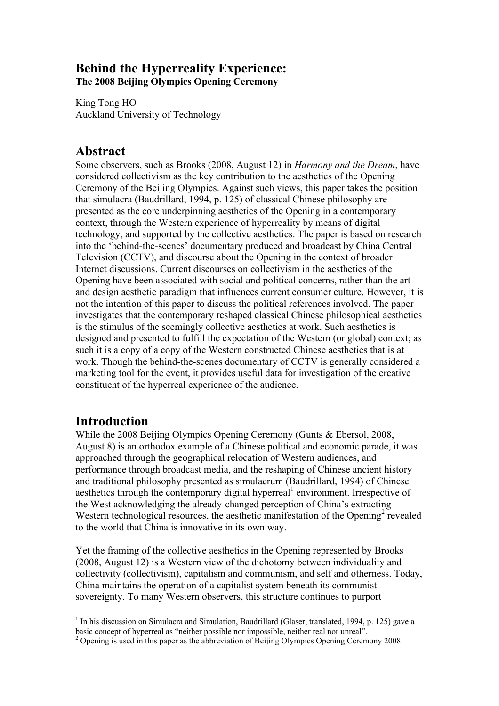## **Behind the Hyperreality Experience: The 2008 Beijing Olympics Opening Ceremony**

King Tong HO Auckland University of Technology

# **Abstract**

Some observers, such as Brooks (2008, August 12) in *Harmony and the Dream*, have considered collectivism as the key contribution to the aesthetics of the Opening Ceremony of the Beijing Olympics. Against such views, this paper takes the position that simulacra (Baudrillard, 1994, p. 125) of classical Chinese philosophy are presented as the core underpinning aesthetics of the Opening in a contemporary context, through the Western experience of hyperreality by means of digital technology, and supported by the collective aesthetics. The paper is based on research into the 'behind-the-scenes' documentary produced and broadcast by China Central Television (CCTV), and discourse about the Opening in the context of broader Internet discussions. Current discourses on collectivism in the aesthetics of the Opening have been associated with social and political concerns, rather than the art and design aesthetic paradigm that influences current consumer culture. However, it is not the intention of this paper to discuss the political references involved. The paper investigates that the contemporary reshaped classical Chinese philosophical aesthetics is the stimulus of the seemingly collective aesthetics at work. Such aesthetics is designed and presented to fulfill the expectation of the Western (or global) context; as such it is a copy of a copy of the Western constructed Chinese aesthetics that is at work. Though the behind-the-scenes documentary of CCTV is generally considered a marketing tool for the event, it provides useful data for investigation of the creative constituent of the hyperreal experience of the audience.

# **Introduction**

While the 2008 Beijing Olympics Opening Ceremony (Gunts & Ebersol, 2008, August 8) is an orthodox example of a Chinese political and economic parade, it was approached through the geographical relocation of Western audiences, and performance through broadcast media, and the reshaping of Chinese ancient history and traditional philosophy presented as simulacrum (Baudrillard, 1994) of Chinese aesthetics through the contemporary digital hyperreal<sup>1</sup> environment. Irrespective of the West acknowledging the already-changed perception of China's extracting Western technological resources, the aesthetic manifestation of the Opening<sup>2</sup> revealed to the world that China is innovative in its own way.

Yet the framing of the collective aesthetics in the Opening represented by Brooks (2008, August 12) is a Western view of the dichotomy between individuality and collectivity (collectivism), capitalism and communism, and self and otherness. Today, China maintains the operation of a capitalist system beneath its communist sovereignty. To many Western observers, this structure continues to purport

<sup>&</sup>lt;sup>1</sup> In his discussion on Simulacra and Simulation, Baudrillard (Glaser, translated, 1994, p. 125) gave a basic concept of hyperreal as "neither possible nor impossible, neither real nor unreal".

<sup>&</sup>lt;sup>2</sup> Opening is used in this paper as the abbreviation of Beijing Olympics Opening Ceremony 2008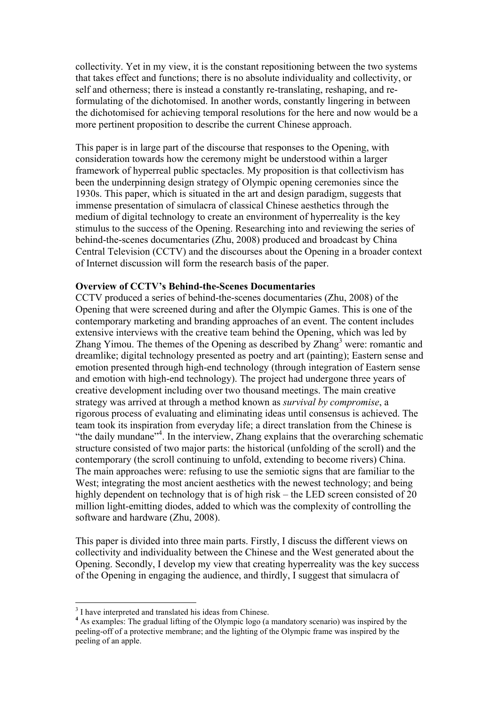collectivity. Yet in my view, it is the constant repositioning between the two systems that takes effect and functions; there is no absolute individuality and collectivity, or self and otherness; there is instead a constantly re-translating, reshaping, and reformulating of the dichotomised. In another words, constantly lingering in between the dichotomised for achieving temporal resolutions for the here and now would be a more pertinent proposition to describe the current Chinese approach.

This paper is in large part of the discourse that responses to the Opening, with consideration towards how the ceremony might be understood within a larger framework of hyperreal public spectacles. My proposition is that collectivism has been the underpinning design strategy of Olympic opening ceremonies since the 1930s. This paper, which is situated in the art and design paradigm, suggests that immense presentation of simulacra of classical Chinese aesthetics through the medium of digital technology to create an environment of hyperreality is the key stimulus to the success of the Opening. Researching into and reviewing the series of behind-the-scenes documentaries (Zhu, 2008) produced and broadcast by China Central Television (CCTV) and the discourses about the Opening in a broader context of Internet discussion will form the research basis of the paper.

#### **Overview of CCTV's Behind-the-Scenes Documentaries**

CCTV produced a series of behind-the-scenes documentaries (Zhu, 2008) of the Opening that were screened during and after the Olympic Games. This is one of the contemporary marketing and branding approaches of an event. The content includes extensive interviews with the creative team behind the Opening, which was led by Zhang Yimou. The themes of the Opening as described by Zhang<sup>3</sup> were: romantic and dreamlike; digital technology presented as poetry and art (painting); Eastern sense and emotion presented through high-end technology (through integration of Eastern sense and emotion with high-end technology). The project had undergone three years of creative development including over two thousand meetings. The main creative strategy was arrived at through a method known as *survival by compromise*, a rigorous process of evaluating and eliminating ideas until consensus is achieved. The team took its inspiration from everyday life; a direct translation from the Chinese is "the daily mundane"<sup>4</sup>. In the interview, Zhang explains that the overarching schematic structure consisted of two major parts: the historical (unfolding of the scroll) and the contemporary (the scroll continuing to unfold, extending to become rivers) China. The main approaches were: refusing to use the semiotic signs that are familiar to the West; integrating the most ancient aesthetics with the newest technology; and being highly dependent on technology that is of high risk – the LED screen consisted of 20 million light-emitting diodes, added to which was the complexity of controlling the software and hardware (Zhu, 2008).

This paper is divided into three main parts. Firstly, I discuss the different views on collectivity and individuality between the Chinese and the West generated about the Opening. Secondly, I develop my view that creating hyperreality was the key success of the Opening in engaging the audience, and thirdly, I suggest that simulacra of

3  $3$  I have interpreted and translated his ideas from Chinese.

<sup>&</sup>lt;sup>4</sup> As examples: The gradual lifting of the Olympic logo (a mandatory scenario) was inspired by the peeling-off of a protective membrane; and the lighting of the Olympic frame was inspired by the peeling of an apple.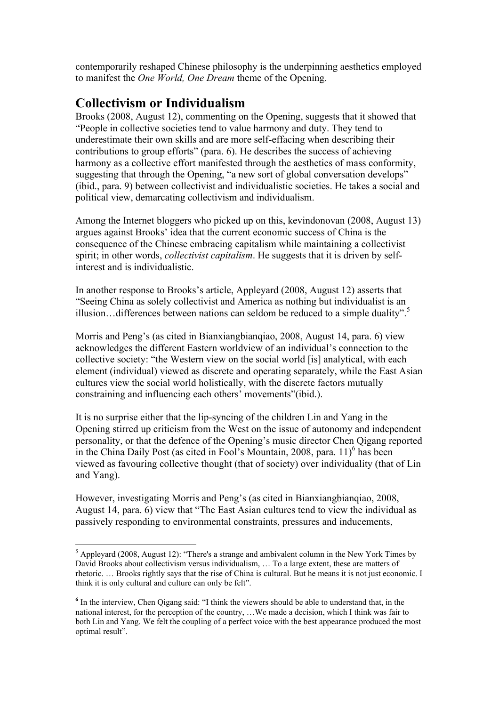contemporarily reshaped Chinese philosophy is the underpinning aesthetics employed to manifest the *One World, One Dream* theme of the Opening.

# **Collectivism or Individualism**

Brooks (2008, August 12), commenting on the Opening, suggests that it showed that "People in collective societies tend to value harmony and duty. They tend to underestimate their own skills and are more self-effacing when describing their contributions to group efforts" (para. 6). He describes the success of achieving harmony as a collective effort manifested through the aesthetics of mass conformity, suggesting that through the Opening, "a new sort of global conversation develops" (ibid., para. 9) between collectivist and individualistic societies. He takes a social and political view, demarcating collectivism and individualism.

Among the Internet bloggers who picked up on this, kevindonovan (2008, August 13) argues against Brooks' idea that the current economic success of China is the consequence of the Chinese embracing capitalism while maintaining a collectivist spirit; in other words, *collectivist capitalism*. He suggests that it is driven by selfinterest and is individualistic.

In another response to Brooks's article, Appleyard (2008, August 12) asserts that "Seeing China as solely collectivist and America as nothing but individualist is an illusion...differences between nations can seldom be reduced to a simple duality".<sup>5</sup>

Morris and Peng's (as cited in Bianxiangbiangiao, 2008, August 14, para. 6) view acknowledges the different Eastern worldview of an individual's connection to the collective society: "the Western view on the social world [is] analytical, with each element (individual) viewed as discrete and operating separately, while the East Asian cultures view the social world holistically, with the discrete factors mutually constraining and influencing each others' movements"(ibid.).

It is no surprise either that the lip-syncing of the children Lin and Yang in the Opening stirred up criticism from the West on the issue of autonomy and independent personality, or that the defence of the Opening's music director Chen Qigang reported in the China Daily Post (as cited in Fool's Mountain, 2008, para.  $11)^6$  has been viewed as favouring collective thought (that of society) over individuality (that of Lin and Yang).

However, investigating Morris and Peng's (as cited in Bianxiangbianqiao, 2008, August 14, para. 6) view that "The East Asian cultures tend to view the individual as passively responding to environmental constraints, pressures and inducements,

5  $<sup>5</sup>$  Appleyard (2008, August 12): "There's a strange and ambivalent column in the New York Times by</sup> David Brooks about collectivism versus individualism, ... To a large extent, these are matters of rhetoric. … Brooks rightly says that the rise of China is cultural. But he means it is not just economic. I think it is only cultural and culture can only be felt".

**<sup>6</sup>** In the interview, Chen Qigang said: "I think the viewers should be able to understand that, in the national interest, for the perception of the country, …We made a decision, which I think was fair to both Lin and Yang. We felt the coupling of a perfect voice with the best appearance produced the most optimal result".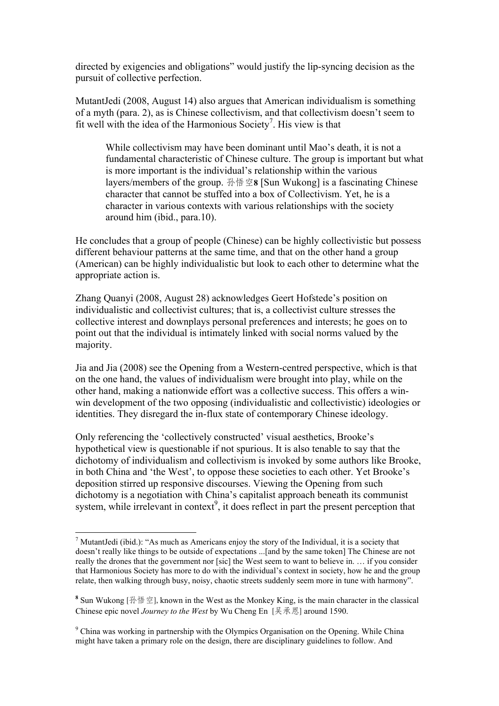directed by exigencies and obligations" would justify the lip-syncing decision as the pursuit of collective perfection.

MutantJedi (2008, August 14) also argues that American individualism is something of a myth (para. 2), as is Chinese collectivism, and that collectivism doesn't seem to fit well with the idea of the Harmonious Society<sup>7</sup>. His view is that

While collectivism may have been dominant until Mao's death, it is not a fundamental characteristic of Chinese culture. The group is important but what is more important is the individual's relationship within the various layers/members of the group. 孙悟空**8** [Sun Wukong] is a fascinating Chinese character that cannot be stuffed into a box of Collectivism. Yet, he is a character in various contexts with various relationships with the society around him (ibid., para.10).

He concludes that a group of people (Chinese) can be highly collectivistic but possess different behaviour patterns at the same time, and that on the other hand a group (American) can be highly individualistic but look to each other to determine what the appropriate action is.

Zhang Quanyi (2008, August 28) acknowledges Geert Hofstede's position on individualistic and collectivist cultures; that is, a collectivist culture stresses the collective interest and downplays personal preferences and interests; he goes on to point out that the individual is intimately linked with social norms valued by the majority.

Jia and Jia (2008) see the Opening from a Western-centred perspective, which is that on the one hand, the values of individualism were brought into play, while on the other hand, making a nationwide effort was a collective success. This offers a winwin development of the two opposing (individualistic and collectivistic) ideologies or identities. They disregard the in-flux state of contemporary Chinese ideology.

Only referencing the 'collectively constructed' visual aesthetics, Brooke's hypothetical view is questionable if not spurious. It is also tenable to say that the dichotomy of individualism and collectivism is invoked by some authors like Brooke, in both China and 'the West', to oppose these societies to each other. Yet Brooke's deposition stirred up responsive discourses. Viewing the Opening from such dichotomy is a negotiation with China's capitalist approach beneath its communist system, while irrelevant in context<sup>9</sup>, it does reflect in part the present perception that

<sup>7</sup> MutantJedi (ibid.): "As much as Americans enjoy the story of the Individual, it is a society that doesn't really like things to be outside of expectations ...[and by the same token] The Chinese are not really the drones that the government nor [sic] the West seem to want to believe in. … if you consider that Harmonious Society has more to do with the individual's context in society, how he and the group relate, then walking through busy, noisy, chaotic streets suddenly seem more in tune with harmony".

**<sup>8</sup>** Sun Wukong [孙悟空], known in the West as the Monkey King, is the main character in the classical Chinese epic novel *Journey to the West* by Wu Cheng En [吴承恩] around 1590.

<sup>&</sup>lt;sup>9</sup> China was working in partnership with the Olympics Organisation on the Opening. While China might have taken a primary role on the design, there are disciplinary guidelines to follow. And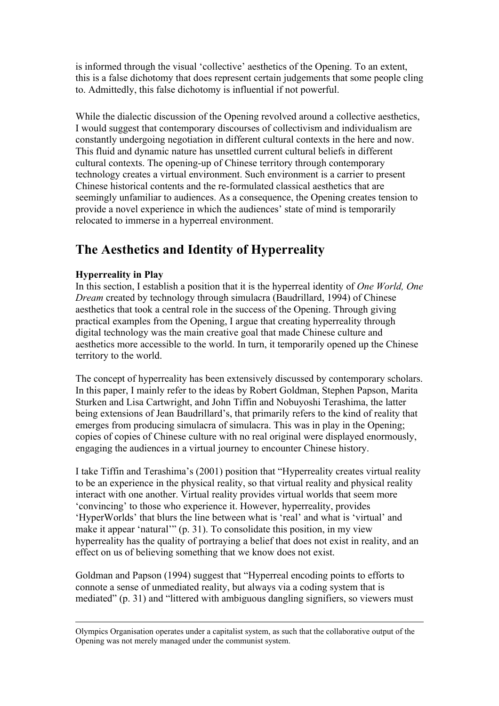is informed through the visual 'collective' aesthetics of the Opening. To an extent, this is a false dichotomy that does represent certain judgements that some people cling to. Admittedly, this false dichotomy is influential if not powerful.

While the dialectic discussion of the Opening revolved around a collective aesthetics, I would suggest that contemporary discourses of collectivism and individualism are constantly undergoing negotiation in different cultural contexts in the here and now. This fluid and dynamic nature has unsettled current cultural beliefs in different cultural contexts. The opening-up of Chinese territory through contemporary technology creates a virtual environment. Such environment is a carrier to present Chinese historical contents and the re-formulated classical aesthetics that are seemingly unfamiliar to audiences. As a consequence, the Opening creates tension to provide a novel experience in which the audiences' state of mind is temporarily relocated to immerse in a hyperreal environment.

# **The Aesthetics and Identity of Hyperreality**

## **Hyperreality in Play**

In this section, I establish a position that it is the hyperreal identity of *One World, One Dream* created by technology through simulacra (Baudrillard, 1994) of Chinese aesthetics that took a central role in the success of the Opening. Through giving practical examples from the Opening, I argue that creating hyperreality through digital technology was the main creative goal that made Chinese culture and aesthetics more accessible to the world. In turn, it temporarily opened up the Chinese territory to the world.

The concept of hyperreality has been extensively discussed by contemporary scholars. In this paper, I mainly refer to the ideas by Robert Goldman, Stephen Papson, Marita Sturken and Lisa Cartwright, and John Tiffin and Nobuyoshi Terashima, the latter being extensions of Jean Baudrillard's, that primarily refers to the kind of reality that emerges from producing simulacra of simulacra. This was in play in the Opening; copies of copies of Chinese culture with no real original were displayed enormously, engaging the audiences in a virtual journey to encounter Chinese history.

I take Tiffin and Terashima's (2001) position that "Hyperreality creates virtual reality to be an experience in the physical reality, so that virtual reality and physical reality interact with one another. Virtual reality provides virtual worlds that seem more 'convincing' to those who experience it. However, hyperreality, provides 'HyperWorlds' that blurs the line between what is 'real' and what is 'virtual' and make it appear 'natural'" (p. 31). To consolidate this position, in my view hyperreality has the quality of portraying a belief that does not exist in reality, and an effect on us of believing something that we know does not exist.

Goldman and Papson (1994) suggest that "Hyperreal encoding points to efforts to connote a sense of unmediated reality, but always via a coding system that is mediated" (p. 31) and "littered with ambiguous dangling signifiers, so viewers must

Olympics Organisation operates under a capitalist system, as such that the collaborative output of the Opening was not merely managed under the communist system.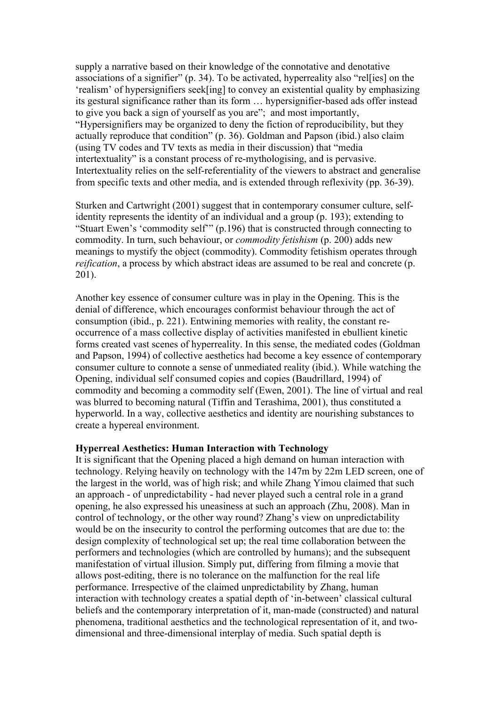supply a narrative based on their knowledge of the connotative and denotative associations of a signifier" (p. 34). To be activated, hyperreality also "rel[ies] on the 'realism' of hypersignifiers seek[ing] to convey an existential quality by emphasizing its gestural significance rather than its form … hypersignifier-based ads offer instead to give you back a sign of yourself as you are"; and most importantly, "Hypersignifiers may be organized to deny the fiction of reproducibility, but they actually reproduce that condition" (p. 36). Goldman and Papson (ibid.) also claim (using TV codes and TV texts as media in their discussion) that "media intertextuality" is a constant process of re-mythologising, and is pervasive. Intertextuality relies on the self-referentiality of the viewers to abstract and generalise from specific texts and other media, and is extended through reflexivity (pp. 36-39).

Sturken and Cartwright (2001) suggest that in contemporary consumer culture, selfidentity represents the identity of an individual and a group (p. 193); extending to "Stuart Ewen's 'commodity self'" (p.196) that is constructed through connecting to commodity. In turn, such behaviour, or *commodity fetishism* (p. 200) adds new meanings to mystify the object (commodity). Commodity fetishism operates through *reification*, a process by which abstract ideas are assumed to be real and concrete (p. 201).

Another key essence of consumer culture was in play in the Opening. This is the denial of difference, which encourages conformist behaviour through the act of consumption (ibid., p. 221). Entwining memories with reality, the constant reoccurrence of a mass collective display of activities manifested in ebullient kinetic forms created vast scenes of hyperreality. In this sense, the mediated codes (Goldman and Papson, 1994) of collective aesthetics had become a key essence of contemporary consumer culture to connote a sense of unmediated reality (ibid.). While watching the Opening, individual self consumed copies and copies (Baudrillard, 1994) of commodity and becoming a commodity self (Ewen, 2001). The line of virtual and real was blurred to becoming natural (Tiffin and Terashima, 2001), thus constituted a hyperworld. In a way, collective aesthetics and identity are nourishing substances to create a hypereal environment.

#### **Hyperreal Aesthetics: Human Interaction with Technology**

It is significant that the Opening placed a high demand on human interaction with technology. Relying heavily on technology with the 147m by 22m LED screen, one of the largest in the world, was of high risk; and while Zhang Yimou claimed that such an approach - of unpredictability - had never played such a central role in a grand opening, he also expressed his uneasiness at such an approach (Zhu, 2008). Man in control of technology, or the other way round? Zhang's view on unpredictability would be on the insecurity to control the performing outcomes that are due to: the design complexity of technological set up; the real time collaboration between the performers and technologies (which are controlled by humans); and the subsequent manifestation of virtual illusion. Simply put, differing from filming a movie that allows post-editing, there is no tolerance on the malfunction for the real life performance. Irrespective of the claimed unpredictability by Zhang, human interaction with technology creates a spatial depth of 'in-between' classical cultural beliefs and the contemporary interpretation of it, man-made (constructed) and natural phenomena, traditional aesthetics and the technological representation of it, and twodimensional and three-dimensional interplay of media. Such spatial depth is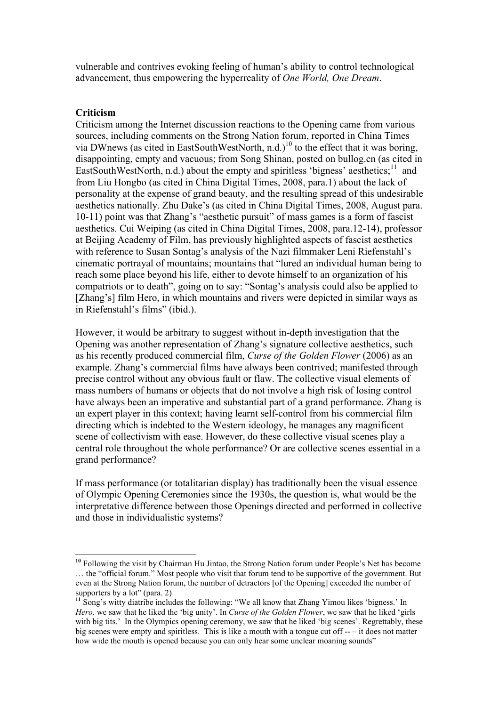vulnerable and contrives evoking feeling of human's ability to control technological advancement, thus empowering the hyperreality of *One World, One Dream*.

### **Criticism**

Criticism among the Internet discussion reactions to the Opening came from various sources, including comments on the Strong Nation forum, reported in China Times via DWnews (as cited in EastSouthWestNorth, n.d.)<sup>10</sup> to the effect that it was boring, disappointing, empty and vacuous; from Song Shinan, posted on bullog.cn (as cited in EastSouthWestNorth, n.d.) about the empty and spiritless 'bigness' aesthetics; $^{11}$  and from Liu Hongbo (as cited in China Digital Times, 2008, para.1) about the lack of personality at the expense of grand beauty, and the resulting spread of this undesirable aesthetics nationally. Zhu Dake's (as cited in China Digital Times, 2008, August para. 10-11) point was that Zhang's "aesthetic pursuit" of mass games is a form of fascist aesthetics. Cui Weiping (as cited in China Digital Times, 2008, para.12-14), professor at Beijing Academy of Film, has previously highlighted aspects of fascist aesthetics with reference to Susan Sontag's analysis of the Nazi filmmaker Leni Riefenstahl's cinematic portrayal of mountains; mountains that "lured an individual human being to reach some place beyond his life, either to devote himself to an organization of his compatriots or to death", going on to say: "Sontag's analysis could also be applied to [Zhang's] film Hero, in which mountains and rivers were depicted in similar ways as in Riefenstahl's films" (ibid.).

However, it would be arbitrary to suggest without in-depth investigation that the Opening was another representation of Zhang's signature collective aesthetics, such as his recently produced commercial film, *Curse of the Golden Flower* (2006) as an example. Zhang's commercial films have always been contrived; manifested through precise control without any obvious fault or flaw. The collective visual elements of mass numbers of humans or objects that do not involve a high risk of losing control have always been an imperative and substantial part of a grand performance. Zhang is an expert player in this context; having learnt self-control from his commercial film directing which is indebted to the Western ideology, he manages any magnificent scene of collectivism with ease. However, do these collective visual scenes play a central role throughout the whole performance? Or are collective scenes essential in a grand performance?

If mass performance (or totalitarian display) has traditionally been the visual essence of Olympic Opening Ceremonies since the 1930s, the question is, what would be the interpretative difference between those Openings directed and performed in collective and those in individualistic systems?

**<sup>10</sup>** Following the visit by Chairman Hu Jintao, the Strong Nation forum under People's Net has become … the "official forum." Most people who visit that forum tend to be supportive of the government. But even at the Strong Nation forum, the number of detractors [of the Opening] exceeded the number of supporters by a  $\overline{lot}$ " (para. 2)

<sup>&</sup>lt;sup>11</sup> Song's witty diatribe includes the following: "We all know that Zhang Yimou likes 'bigness.' In *Hero,* we saw that he liked the 'big unity'. In *Curse of the Golden Flower*, we saw that he liked 'girls with big tits.' In the Olympics opening ceremony, we saw that he liked 'big scenes'. Regrettably, these big scenes were empty and spiritless. This is like a mouth with a tongue cut off -- – it does not matter how wide the mouth is opened because you can only hear some unclear moaning sounds"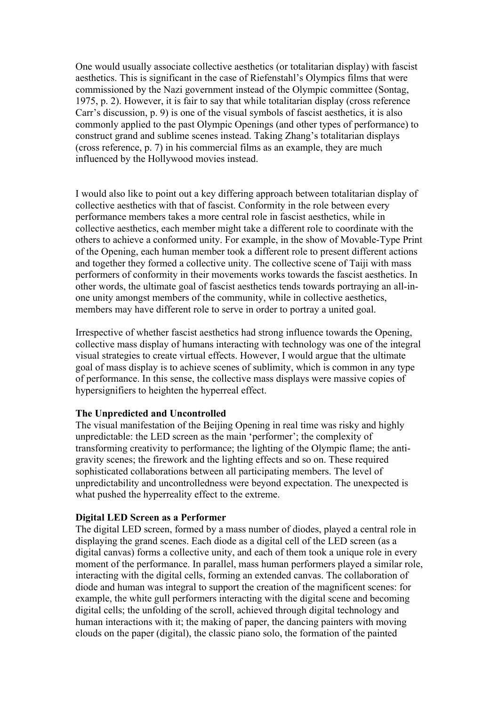One would usually associate collective aesthetics (or totalitarian display) with fascist aesthetics. This is significant in the case of Riefenstahl's Olympics films that were commissioned by the Nazi government instead of the Olympic committee (Sontag, 1975, p. 2). However, it is fair to say that while totalitarian display (cross reference Carr's discussion, p. 9) is one of the visual symbols of fascist aesthetics, it is also commonly applied to the past Olympic Openings (and other types of performance) to construct grand and sublime scenes instead. Taking Zhang's totalitarian displays (cross reference, p. 7) in his commercial films as an example, they are much influenced by the Hollywood movies instead.

I would also like to point out a key differing approach between totalitarian display of collective aesthetics with that of fascist. Conformity in the role between every performance members takes a more central role in fascist aesthetics, while in collective aesthetics, each member might take a different role to coordinate with the others to achieve a conformed unity. For example, in the show of Movable-Type Print of the Opening, each human member took a different role to present different actions and together they formed a collective unity. The collective scene of Taiji with mass performers of conformity in their movements works towards the fascist aesthetics. In other words, the ultimate goal of fascist aesthetics tends towards portraying an all-inone unity amongst members of the community, while in collective aesthetics, members may have different role to serve in order to portray a united goal.

Irrespective of whether fascist aesthetics had strong influence towards the Opening, collective mass display of humans interacting with technology was one of the integral visual strategies to create virtual effects. However, I would argue that the ultimate goal of mass display is to achieve scenes of sublimity, which is common in any type of performance. In this sense, the collective mass displays were massive copies of hypersignifiers to heighten the hyperreal effect.

## **The Unpredicted and Uncontrolled**

The visual manifestation of the Beijing Opening in real time was risky and highly unpredictable: the LED screen as the main 'performer'; the complexity of transforming creativity to performance; the lighting of the Olympic flame; the antigravity scenes; the firework and the lighting effects and so on. These required sophisticated collaborations between all participating members. The level of unpredictability and uncontrolledness were beyond expectation. The unexpected is what pushed the hyperreality effect to the extreme.

## **Digital LED Screen as a Performer**

The digital LED screen, formed by a mass number of diodes, played a central role in displaying the grand scenes. Each diode as a digital cell of the LED screen (as a digital canvas) forms a collective unity, and each of them took a unique role in every moment of the performance. In parallel, mass human performers played a similar role, interacting with the digital cells, forming an extended canvas. The collaboration of diode and human was integral to support the creation of the magnificent scenes: for example, the white gull performers interacting with the digital scene and becoming digital cells; the unfolding of the scroll, achieved through digital technology and human interactions with it; the making of paper, the dancing painters with moving clouds on the paper (digital), the classic piano solo, the formation of the painted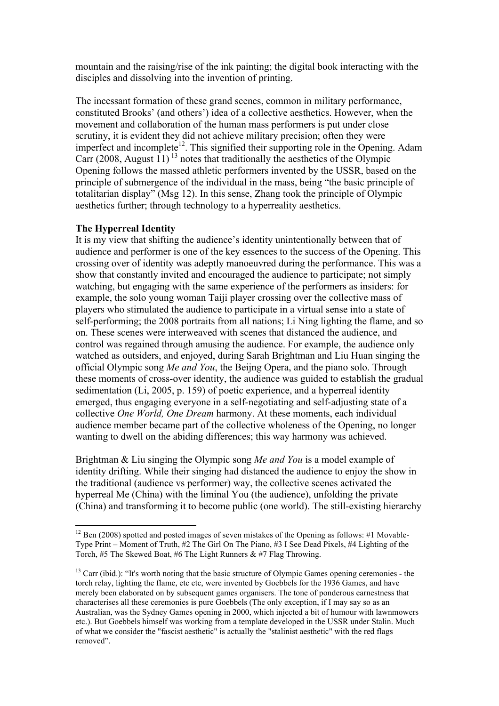mountain and the raising/rise of the ink painting; the digital book interacting with the disciples and dissolving into the invention of printing.

The incessant formation of these grand scenes, common in military performance, constituted Brooks' (and others') idea of a collective aesthetics. However, when the movement and collaboration of the human mass performers is put under close scrutiny, it is evident they did not achieve military precision; often they were imperfect and incomplete<sup>12</sup>. This signified their supporting role in the Opening. Adam Carr (2008, August  $11$ )<sup>13</sup> notes that traditionally the aesthetics of the Olympic Opening follows the massed athletic performers invented by the USSR, based on the principle of submergence of the individual in the mass, being "the basic principle of totalitarian display" (Msg 12). In this sense, Zhang took the principle of Olympic aesthetics further; through technology to a hyperreality aesthetics.

### **The Hyperreal Identity**

It is my view that shifting the audience's identity unintentionally between that of audience and performer is one of the key essences to the success of the Opening. This crossing over of identity was adeptly manoeuvred during the performance. This was a show that constantly invited and encouraged the audience to participate; not simply watching, but engaging with the same experience of the performers as insiders: for example, the solo young woman Taiji player crossing over the collective mass of players who stimulated the audience to participate in a virtual sense into a state of self-performing; the 2008 portraits from all nations; Li Ning lighting the flame, and so on. These scenes were interweaved with scenes that distanced the audience, and control was regained through amusing the audience. For example, the audience only watched as outsiders, and enjoyed, during Sarah Brightman and Liu Huan singing the official Olympic song *Me and You*, the Beijng Opera, and the piano solo. Through these moments of cross-over identity, the audience was guided to establish the gradual sedimentation (Li, 2005, p. 159) of poetic experience, and a hyperreal identity emerged, thus engaging everyone in a self-negotiating and self-adjusting state of a collective *One World, One Dream* harmony. At these moments, each individual audience member became part of the collective wholeness of the Opening, no longer wanting to dwell on the abiding differences; this way harmony was achieved.

Brightman & Liu singing the Olympic song *Me and You* is a model example of identity drifting. While their singing had distanced the audience to enjoy the show in the traditional (audience vs performer) way, the collective scenes activated the hyperreal Me (China) with the liminal You (the audience), unfolding the private (China) and transforming it to become public (one world). The still-existing hierarchy

<sup>&</sup>lt;sup>12</sup> Ben (2008) spotted and posted images of seven mistakes of the Opening as follows: #1 Movable-Type Print – Moment of Truth, #2 The Girl On The Piano, #3 I See Dead Pixels, #4 Lighting of the Torch, #5 The Skewed Boat, #6 The Light Runners & #7 Flag Throwing.

<sup>&</sup>lt;sup>13</sup> Carr (ibid.): "It's worth noting that the basic structure of Olympic Games opening ceremonies - the torch relay, lighting the flame, etc etc, were invented by Goebbels for the 1936 Games, and have merely been elaborated on by subsequent games organisers. The tone of ponderous earnestness that characterises all these ceremonies is pure Goebbels (The only exception, if I may say so as an Australian, was the Sydney Games opening in 2000, which injected a bit of humour with lawnmowers etc.). But Goebbels himself was working from a template developed in the USSR under Stalin. Much of what we consider the "fascist aesthetic" is actually the "stalinist aesthetic" with the red flags removed".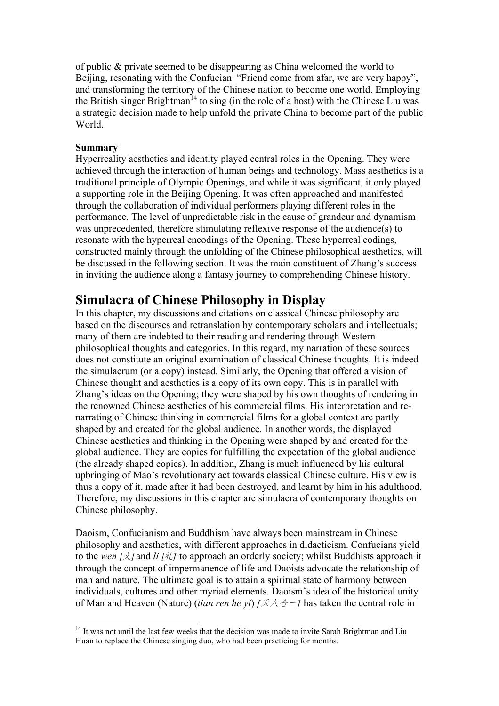of public & private seemed to be disappearing as China welcomed the world to Beijing, resonating with the Confucian "Friend come from afar, we are very happy", and transforming the territory of the Chinese nation to become one world. Employing the British singer Brightman<sup>14</sup> to sing (in the role of a host) with the Chinese Liu was a strategic decision made to help unfold the private China to become part of the public World.

### **Summary**

Hyperreality aesthetics and identity played central roles in the Opening. They were achieved through the interaction of human beings and technology. Mass aesthetics is a traditional principle of Olympic Openings, and while it was significant, it only played a supporting role in the Beijing Opening. It was often approached and manifested through the collaboration of individual performers playing different roles in the performance. The level of unpredictable risk in the cause of grandeur and dynamism was unprecedented, therefore stimulating reflexive response of the audience(s) to resonate with the hyperreal encodings of the Opening. These hyperreal codings, constructed mainly through the unfolding of the Chinese philosophical aesthetics, will be discussed in the following section. It was the main constituent of Zhang's success in inviting the audience along a fantasy journey to comprehending Chinese history.

## **Simulacra of Chinese Philosophy in Display**

In this chapter, my discussions and citations on classical Chinese philosophy are based on the discourses and retranslation by contemporary scholars and intellectuals; many of them are indebted to their reading and rendering through Western philosophical thoughts and categories. In this regard, my narration of these sources does not constitute an original examination of classical Chinese thoughts. It is indeed the simulacrum (or a copy) instead. Similarly, the Opening that offered a vision of Chinese thought and aesthetics is a copy of its own copy. This is in parallel with Zhang's ideas on the Opening; they were shaped by his own thoughts of rendering in the renowned Chinese aesthetics of his commercial films. His interpretation and renarrating of Chinese thinking in commercial films for a global context are partly shaped by and created for the global audience. In another words, the displayed Chinese aesthetics and thinking in the Opening were shaped by and created for the global audience. They are copies for fulfilling the expectation of the global audience (the already shaped copies). In addition, Zhang is much influenced by his cultural upbringing of Mao's revolutionary act towards classical Chinese culture. His view is thus a copy of it, made after it had been destroyed, and learnt by him in his adulthood. Therefore, my discussions in this chapter are simulacra of contemporary thoughts on Chinese philosophy.

Daoism, Confucianism and Buddhism have always been mainstream in Chinese philosophy and aesthetics, with different approaches in didacticism. Confucians yield to the *wen*  $[\dot{\chi}]$  and *li*  $[\dot{\chi}]$  to approach an orderly society; whilst Buddhists approach it through the concept of impermanence of life and Daoists advocate the relationship of man and nature. The ultimate goal is to attain a spiritual state of harmony between individuals, cultures and other myriad elements. Daoism's idea of the historical unity of Man and Heaven (Nature) *(tian ren he yi)*  $[ $\frac{1}{2}$   $\land$   $\frac{1}{2}$  has taken the central role in$ 

<sup>&</sup>lt;sup>14</sup> It was not until the last few weeks that the decision was made to invite Sarah Brightman and Liu Huan to replace the Chinese singing duo, who had been practicing for months.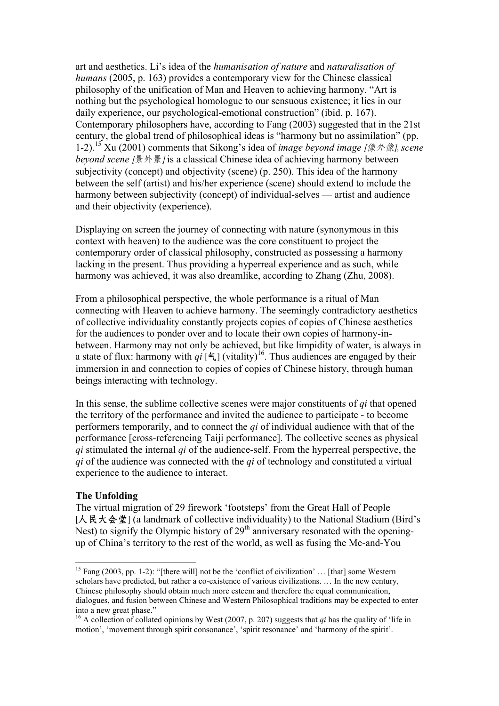art and aesthetics. Li's idea of the *humanisation of nature* and *naturalisation of humans* (2005, p. 163) provides a contemporary view for the Chinese classical philosophy of the unification of Man and Heaven to achieving harmony. "Art is nothing but the psychological homologue to our sensuous existence; it lies in our daily experience, our psychological-emotional construction" (ibid. p. 167). Contemporary philosophers have, according to Fang (2003) suggested that in the 21st century, the global trend of philosophical ideas is "harmony but no assimilation" (pp. 1-2).15 Xu (2001) comments that Sikong's idea of *image beyond image* [像外像], *scene beyond scene* /景外景/ is a classical Chinese idea of achieving harmony between subjectivity (concept) and objectivity (scene) (p. 250). This idea of the harmony between the self (artist) and his/her experience (scene) should extend to include the harmony between subjectivity (concept) of individual-selves — artist and audience and their objectivity (experience).

Displaying on screen the journey of connecting with nature (synonymous in this context with heaven) to the audience was the core constituent to project the contemporary order of classical philosophy, constructed as possessing a harmony lacking in the present. Thus providing a hyperreal experience and as such, while harmony was achieved, it was also dreamlike, according to Zhang (Zhu, 2008).

From a philosophical perspective, the whole performance is a ritual of Man connecting with Heaven to achieve harmony. The seemingly contradictory aesthetics of collective individuality constantly projects copies of copies of Chinese aesthetics for the audiences to ponder over and to locate their own copies of harmony-inbetween. Harmony may not only be achieved, but like limpidity of water, is always in a state of flux: harmony with  $qi \in [{}^{\mathsf{c}}$ ] (vitality)<sup>16</sup>. Thus audiences are engaged by their immersion in and connection to copies of copies of Chinese history, through human beings interacting with technology.

In this sense, the sublime collective scenes were major constituents of *qi* that opened the territory of the performance and invited the audience to participate - to become performers temporarily, and to connect the *qi* of individual audience with that of the performance [cross-referencing Taiji performance]. The collective scenes as physical *qi* stimulated the internal *qi* of the audience-self. From the hyperreal perspective, the *qi* of the audience was connected with the *qi* of technology and constituted a virtual experience to the audience to interact.

#### **The Unfolding**

The virtual migration of 29 firework 'footsteps' from the Great Hall of People [人民大会堂] (a landmark of collective individuality) to the National Stadium (Bird's Nest) to signify the Olympic history of  $29<sup>th</sup>$  anniversary resonated with the openingup of China's territory to the rest of the world, as well as fusing the Me-and-You

<sup>&</sup>lt;sup>15</sup> Fang (2003, pp. 1-2): "[there will] not be the 'conflict of civilization' ... [that] some Western scholars have predicted, but rather a co-existence of various civilizations. … In the new century, Chinese philosophy should obtain much more esteem and therefore the equal communication, dialogues, and fusion between Chinese and Western Philosophical traditions may be expected to enter into a new great phase."

<sup>&</sup>lt;sup>16</sup> A collection of collated opinions by West (2007, p. 207) suggests that *qi* has the quality of 'life in motion', 'movement through spirit consonance', 'spirit resonance' and 'harmony of the spirit'.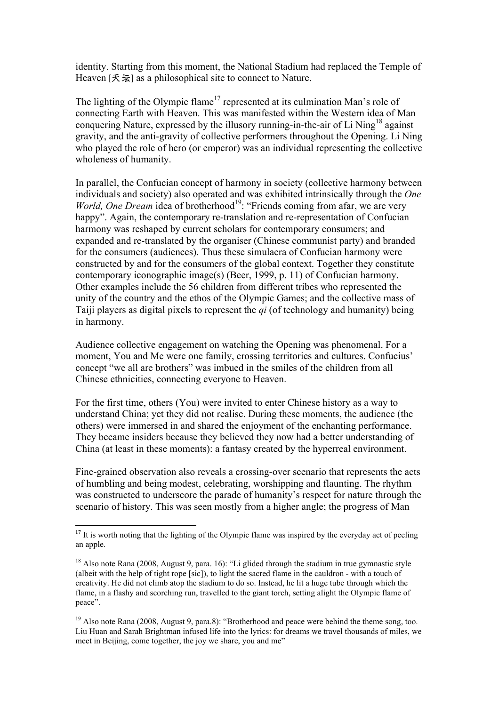identity. Starting from this moment, the National Stadium had replaced the Temple of Heaven [天坛] as a philosophical site to connect to Nature.

The lighting of the Olympic flame<sup>17</sup> represented at its culmination Man's role of connecting Earth with Heaven. This was manifested within the Western idea of Man conquering Nature, expressed by the illusory running-in-the-air of Li Ning<sup>18</sup> against gravity, and the anti-gravity of collective performers throughout the Opening. Li Ning who played the role of hero (or emperor) was an individual representing the collective wholeness of humanity.

In parallel, the Confucian concept of harmony in society (collective harmony between individuals and society) also operated and was exhibited intrinsically through the *One World, One Dream* idea of brotherhood<sup>19</sup>: "Friends coming from afar, we are very happy". Again, the contemporary re-translation and re-representation of Confucian harmony was reshaped by current scholars for contemporary consumers; and expanded and re-translated by the organiser (Chinese communist party) and branded for the consumers (audiences). Thus these simulacra of Confucian harmony were constructed by and for the consumers of the global context. Together they constitute contemporary iconographic image(s) (Beer, 1999, p. 11) of Confucian harmony. Other examples include the 56 children from different tribes who represented the unity of the country and the ethos of the Olympic Games; and the collective mass of Taiji players as digital pixels to represent the *qi* (of technology and humanity) being in harmony.

Audience collective engagement on watching the Opening was phenomenal. For a moment, You and Me were one family, crossing territories and cultures. Confucius' concept "we all are brothers" was imbued in the smiles of the children from all Chinese ethnicities, connecting everyone to Heaven.

For the first time, others (You) were invited to enter Chinese history as a way to understand China; yet they did not realise. During these moments, the audience (the others) were immersed in and shared the enjoyment of the enchanting performance. They became insiders because they believed they now had a better understanding of China (at least in these moments): a fantasy created by the hyperreal environment.

Fine-grained observation also reveals a crossing-over scenario that represents the acts of humbling and being modest, celebrating, worshipping and flaunting. The rhythm was constructed to underscore the parade of humanity's respect for nature through the scenario of history. This was seen mostly from a higher angle; the progress of Man

<sup>&</sup>lt;sup>17</sup> It is worth noting that the lighting of the Olympic flame was inspired by the everyday act of peeling an apple.

<sup>&</sup>lt;sup>18</sup> Also note Rana (2008, August 9, para. 16): "Li glided through the stadium in true gymnastic style (albeit with the help of tight rope [sic]), to light the sacred flame in the cauldron - with a touch of creativity. He did not climb atop the stadium to do so. Instead, he lit a huge tube through which the flame, in a flashy and scorching run, travelled to the giant torch, setting alight the Olympic flame of peace".

<sup>&</sup>lt;sup>19</sup> Also note Rana (2008, August 9, para.8): "Brotherhood and peace were behind the theme song, too. Liu Huan and Sarah Brightman infused life into the lyrics: for dreams we travel thousands of miles, we meet in Beijing, come together, the joy we share, you and me"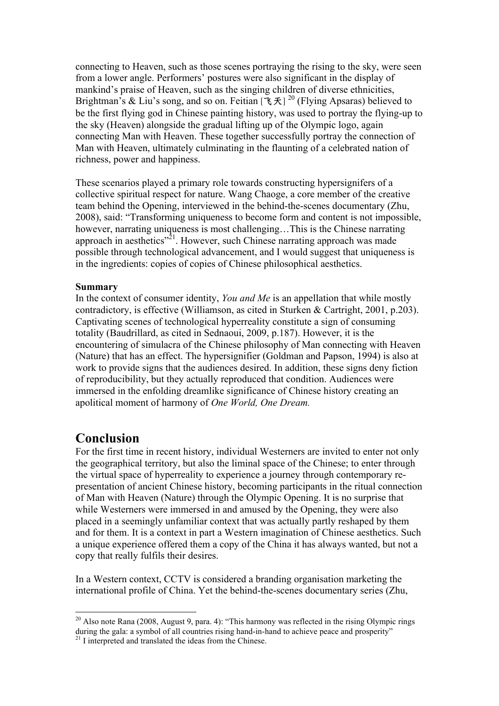connecting to Heaven, such as those scenes portraying the rising to the sky, were seen from a lower angle. Performers' postures were also significant in the display of mankind's praise of Heaven, such as the singing children of diverse ethnicities, Brightman's & Liu's song, and so on. Feitian  $[\mathcal{K}\mathcal{F}]^{20}$  (Flying Apsaras) believed to be the first flying god in Chinese painting history, was used to portray the flying-up to the sky (Heaven) alongside the gradual lifting up of the Olympic logo, again connecting Man with Heaven. These together successfully portray the connection of Man with Heaven, ultimately culminating in the flaunting of a celebrated nation of richness, power and happiness.

These scenarios played a primary role towards constructing hypersignifers of a collective spiritual respect for nature. Wang Chaoge, a core member of the creative team behind the Opening, interviewed in the behind-the-scenes documentary (Zhu, 2008), said: "Transforming uniqueness to become form and content is not impossible, however, narrating uniqueness is most challenging...This is the Chinese narrating approach in aesthetics"<sup>21</sup>. However, such Chinese narrating approach was made possible through technological advancement, and I would suggest that uniqueness is in the ingredients: copies of copies of Chinese philosophical aesthetics.

#### **Summary**

In the context of consumer identity, *You and Me* is an appellation that while mostly contradictory, is effective (Williamson, as cited in Sturken & Cartright, 2001, p.203). Captivating scenes of technological hyperreality constitute a sign of consuming totality (Baudrillard, as cited in Sednaoui, 2009, p.187). However, it is the encountering of simulacra of the Chinese philosophy of Man connecting with Heaven (Nature) that has an effect. The hypersignifier (Goldman and Papson, 1994) is also at work to provide signs that the audiences desired. In addition, these signs deny fiction of reproducibility, but they actually reproduced that condition. Audiences were immersed in the enfolding dreamlike significance of Chinese history creating an apolitical moment of harmony of *One World, One Dream.*

## **Conclusion**

For the first time in recent history, individual Westerners are invited to enter not only the geographical territory, but also the liminal space of the Chinese; to enter through the virtual space of hyperreality to experience a journey through contemporary representation of ancient Chinese history, becoming participants in the ritual connection of Man with Heaven (Nature) through the Olympic Opening. It is no surprise that while Westerners were immersed in and amused by the Opening, they were also placed in a seemingly unfamiliar context that was actually partly reshaped by them and for them. It is a context in part a Western imagination of Chinese aesthetics. Such a unique experience offered them a copy of the China it has always wanted, but not a copy that really fulfils their desires.

In a Western context, CCTV is considered a branding organisation marketing the international profile of China. Yet the behind-the-scenes documentary series (Zhu,

20 Also note Rana (2008, August 9, para. 4): "This harmony was reflected in the rising Olympic rings during the gala: a symbol of all countries rising hand-in-hand to achieve peace and prosperity<sup>"</sup><sup>21</sup> I interpreted and translated the ideas from the Chinese.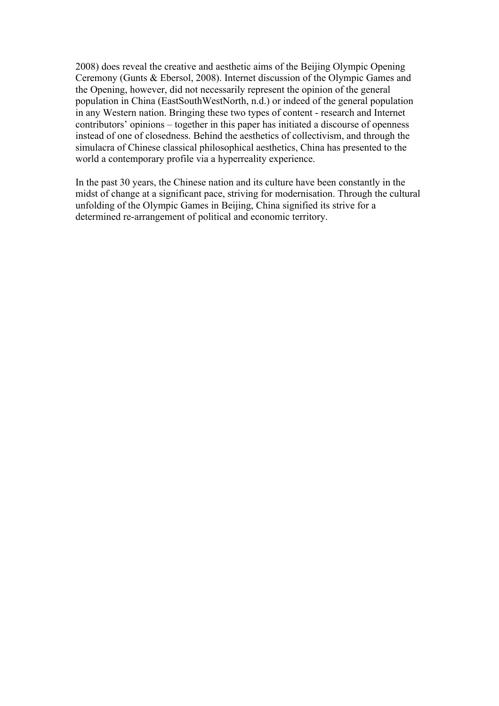2008) does reveal the creative and aesthetic aims of the Beijing Olympic Opening Ceremony (Gunts & Ebersol, 2008). Internet discussion of the Olympic Games and the Opening, however, did not necessarily represent the opinion of the general population in China (EastSouthWestNorth, n.d.) or indeed of the general population in any Western nation. Bringing these two types of content - research and Internet contributors' opinions – together in this paper has initiated a discourse of openness instead of one of closedness. Behind the aesthetics of collectivism, and through the simulacra of Chinese classical philosophical aesthetics, China has presented to the world a contemporary profile via a hyperreality experience.

In the past 30 years, the Chinese nation and its culture have been constantly in the midst of change at a significant pace, striving for modernisation. Through the cultural unfolding of the Olympic Games in Beijing, China signified its strive for a determined re-arrangement of political and economic territory.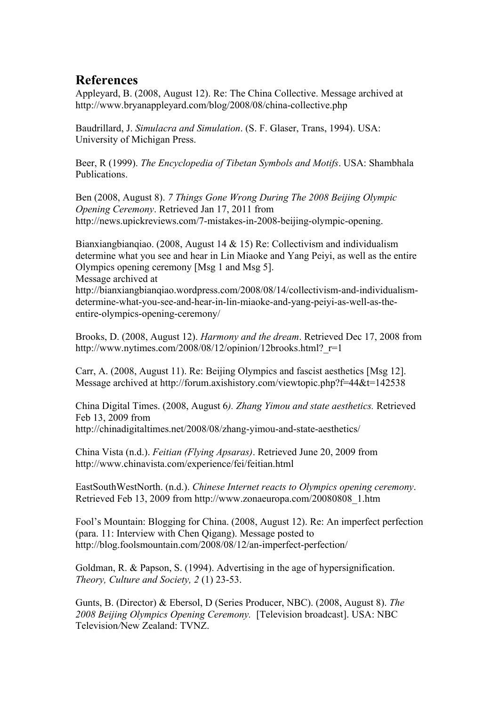## **References**

Appleyard, B. (2008, August 12). Re: The China Collective. Message archived at http://www.bryanappleyard.com/blog/2008/08/china-collective.php

Baudrillard, J. *Simulacra and Simulation*. (S. F. Glaser, Trans, 1994). USA: University of Michigan Press.

Beer, R (1999). *The Encyclopedia of Tibetan Symbols and Motifs*. USA: Shambhala Publications.

Ben (2008, August 8). *7 Things Gone Wrong During The 2008 Beijing Olympic Opening Ceremony*. Retrieved Jan 17, 2011 from http://news.upickreviews.com/7-mistakes-in-2008-beijing-olympic-opening.

Bianxiangbianqiao. (2008, August 14 & 15) Re: Collectivism and individualism determine what you see and hear in Lin Miaoke and Yang Peiyi, as well as the entire Olympics opening ceremony [Msg 1 and Msg 5].

Message archived at

http://bianxiangbianqiao.wordpress.com/2008/08/14/collectivism-and-individualismdetermine-what-you-see-and-hear-in-lin-miaoke-and-yang-peiyi-as-well-as-theentire-olympics-opening-ceremony/

Brooks, D. (2008, August 12). *Harmony and the dream*. Retrieved Dec 17, 2008 from http://www.nytimes.com/2008/08/12/opinion/12brooks.html? $r=1$ 

Carr, A. (2008, August 11). Re: Beijing Olympics and fascist aesthetics [Msg 12]. Message archived at http://forum.axishistory.com/viewtopic.php?f=44&t=142538

China Digital Times. (2008, August 6*). Zhang Yimou and state aesthetics.* Retrieved Feb 13, 2009 from http://chinadigitaltimes.net/2008/08/zhang-yimou-and-state-aesthetics/

China Vista (n.d.). *Feitian (Flying Apsaras)*. Retrieved June 20, 2009 from http://www.chinavista.com/experience/fei/feitian.html

EastSouthWestNorth. (n.d.). *Chinese Internet reacts to Olympics opening ceremony*. Retrieved Feb 13, 2009 from http://www.zonaeuropa.com/20080808\_1.htm

Fool's Mountain: Blogging for China. (2008, August 12). Re: An imperfect perfection (para. 11: Interview with Chen Qigang). Message posted to http://blog.foolsmountain.com/2008/08/12/an-imperfect-perfection/

Goldman, R. & Papson, S. (1994). Advertising in the age of hypersignification. *Theory, Culture and Society, 2* (1) 23-53.

Gunts, B. (Director) & Ebersol, D (Series Producer, NBC). (2008, August 8). *The 2008 Beijing Olympics Opening Ceremony.* [Television broadcast]. USA: NBC Television*/*New Zealand: TVNZ.